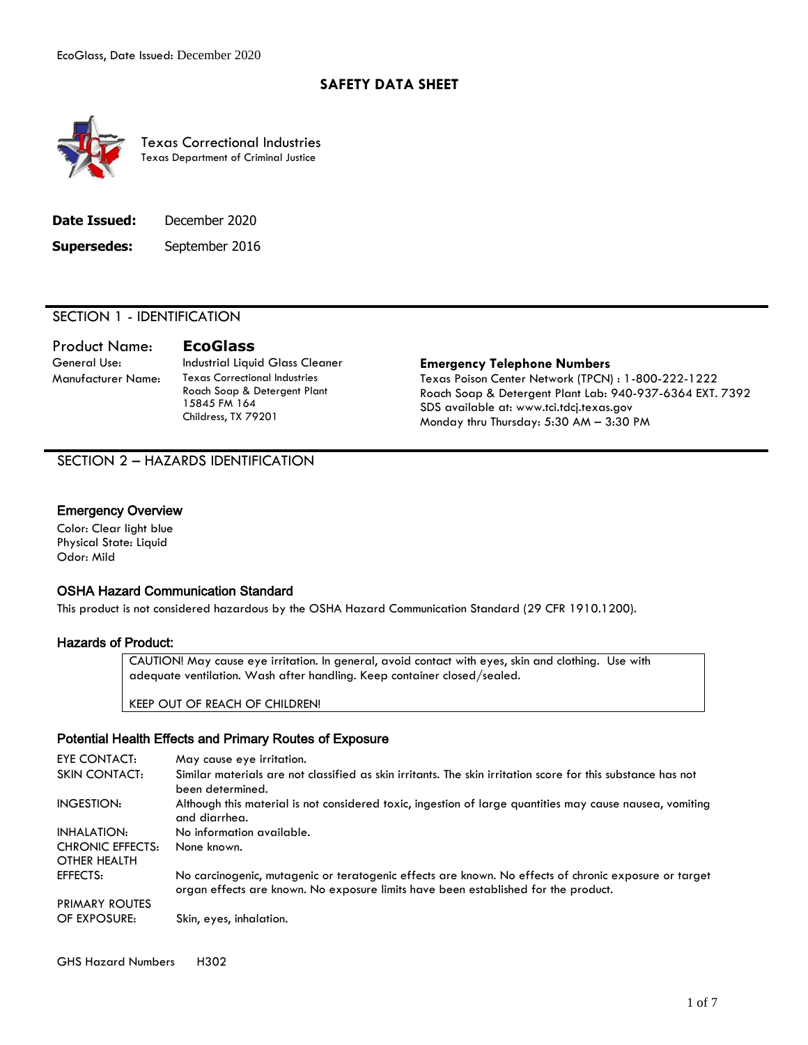#### **SAFETY DATA SHEET**



Texas Correctional Industries Texas Department of Criminal Justice

| Date Issued:       | December 2020  |
|--------------------|----------------|
| <b>Supersedes:</b> | September 2016 |

#### SECTION 1 - IDENTIFICATION

# Product Name: **EcoGlass**

General Use: Industrial Liquid Glass Cleaner **Emergency Telephone Numbers** Manufacturer Name: Texas Correctional Industries Roach Soap & Detergent Plant 15845 FM 164 Childress, TX 79201

Texas Poison Center Network (TPCN) : 1-800-222-1222 Roach Soap & Detergent Plant Lab: 940-937-6364 EXT. 7392 SDS available at: www.tci.tdcj.texas.gov Monday thru Thursday: 5:30 AM – 3:30 PM

#### SECTION 2 – HAZARDS IDENTIFICATION

#### Emergency Overview

Color: Clear light blue Physical State: Liquid Odor: Mild

#### OSHA Hazard Communication Standard

This product is not considered hazardous by the OSHA Hazard Communication Standard (29 CFR 1910.1200).

#### Hazards of Product:

CAUTION! May cause eye irritation. In general, avoid contact with eyes, skin and clothing. Use with adequate ventilation. Wash after handling. Keep container closed/sealed.

KEEP OUT OF REACH OF CHILDREN!

#### Potential Health Effects and Primary Routes of Exposure

| EYE CONTACT:            | May cause eye irritation.                                                                                                                                                                   |
|-------------------------|---------------------------------------------------------------------------------------------------------------------------------------------------------------------------------------------|
| <b>SKIN CONTACT:</b>    | Similar materials are not classified as skin irritants. The skin irritation score for this substance has not<br>been determined.                                                            |
| INGESTION:              | Although this material is not considered toxic, ingestion of large quantities may cause nausea, vomiting<br>and diarrhea.                                                                   |
| INHALATION:             | No information available.                                                                                                                                                                   |
| <b>CHRONIC EFFECTS:</b> | None known.                                                                                                                                                                                 |
| OTHER HEALTH            |                                                                                                                                                                                             |
| EFFECTS:                | No carcinogenic, mutagenic or teratogenic effects are known. No effects of chronic exposure or target<br>organ effects are known. No exposure limits have been established for the product. |
| <b>PRIMARY ROUTES</b>   |                                                                                                                                                                                             |
| OF EXPOSURE:            | Skin, eyes, inhalation.                                                                                                                                                                     |

#### GHS Hazard Numbers H302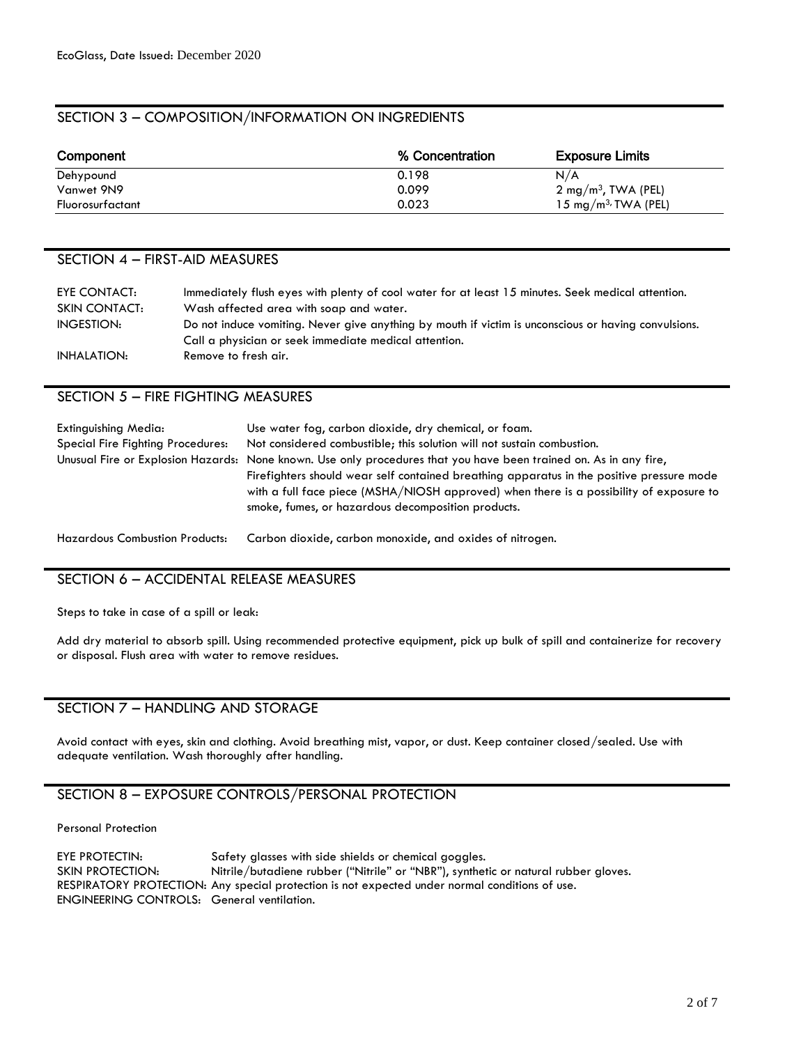#### SECTION 3 – COMPOSITION/INFORMATION ON INGREDIENTS

| Component        | % Concentration | <b>Exposure Limits</b>          |
|------------------|-----------------|---------------------------------|
| Dehypound        | 0.198           | N/A                             |
| Vanwet 9N9       | 0.099           | $2 \text{ mg/m}^3$ , TWA (PEL)  |
| Fluorosurfactant | 0.023           | 15 mg/m <sup>3</sup> /TWA (PEL) |

#### SECTION 4 – FIRST-AID MEASURES

| EYE CONTACT:  | Immediately flush eyes with plenty of cool water for at least 15 minutes. Seek medical attention.    |
|---------------|------------------------------------------------------------------------------------------------------|
| SKIN CONTACT: | Wash affected area with soap and water.                                                              |
| INGESTION:    | Do not induce vomiting. Never give anything by mouth if victim is unconscious or having convulsions. |
|               | Call a physician or seek immediate medical attention.                                                |
| INHALATION:   | Remove to fresh air.                                                                                 |

#### SECTION 5 – FIRE FIGHTING MEASURES

| Extinguishing Media:<br>Special Fire Fighting Procedures: | Use water fog, carbon dioxide, dry chemical, or foam.<br>Not considered combustible; this solution will not sustain combustion.<br>Unusual Fire or Explosion Hazards: None known. Use only procedures that you have been trained on. As in any fire,<br>Firefighters should wear self contained breathing apparatus in the positive pressure mode<br>with a full face piece (MSHA/NIOSH approved) when there is a possibility of exposure to<br>smoke, fumes, or hazardous decomposition products. |
|-----------------------------------------------------------|----------------------------------------------------------------------------------------------------------------------------------------------------------------------------------------------------------------------------------------------------------------------------------------------------------------------------------------------------------------------------------------------------------------------------------------------------------------------------------------------------|
| <b>Hazardous Combustion Products:</b>                     | Carbon dioxide, carbon monoxide, and oxides of nitrogen.                                                                                                                                                                                                                                                                                                                                                                                                                                           |

#### SECTION 6 – ACCIDENTAL RELEASE MEASURES

Steps to take in case of a spill or leak:

Add dry material to absorb spill. Using recommended protective equipment, pick up bulk of spill and containerize for recovery or disposal. Flush area with water to remove residues.

#### SECTION 7 – HANDLING AND STORAGE

Avoid contact with eyes, skin and clothing. Avoid breathing mist, vapor, or dust. Keep container closed/sealed. Use with adequate ventilation. Wash thoroughly after handling.

### SECTION 8 – EXPOSURE CONTROLS/PERSONAL PROTECTION

Personal Protection

EYE PROTECTIN: Safety glasses with side shields or chemical goggles. SKIN PROTECTION: Nitrile/butadiene rubber ("Nitrile" or "NBR"), synthetic or natural rubber gloves. RESPIRATORY PROTECTION: Any special protection is not expected under normal conditions of use. ENGINEERING CONTROLS: General ventilation.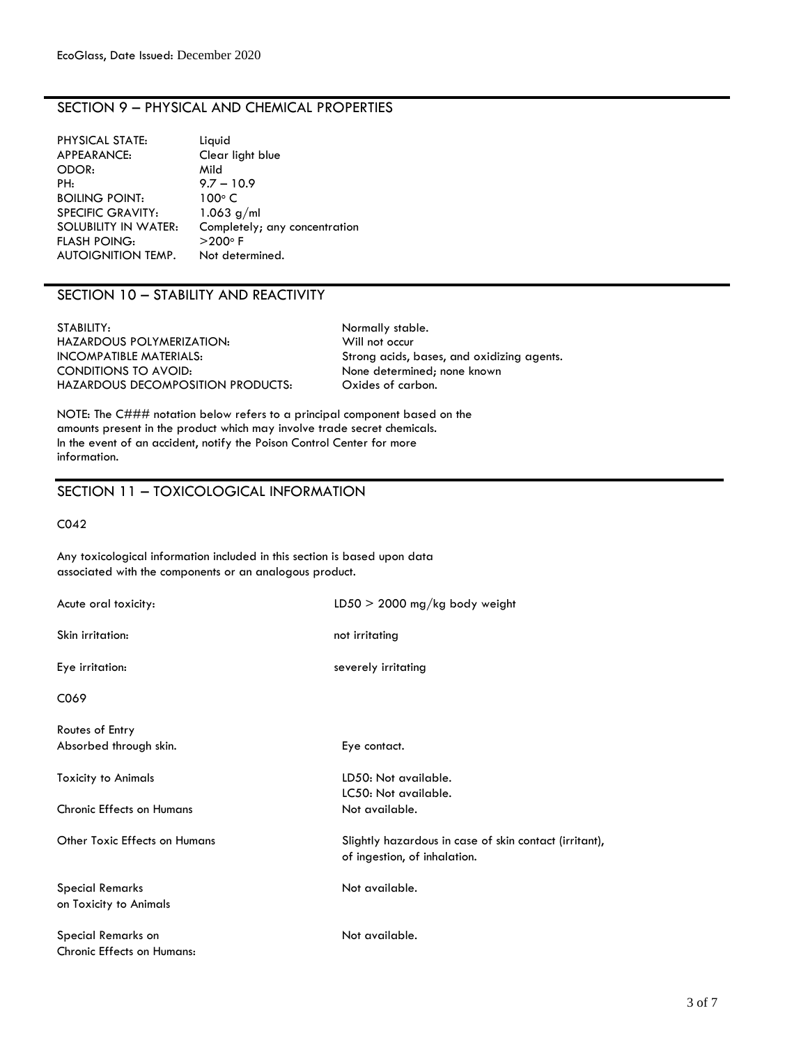#### SECTION 9 – PHYSICAL AND CHEMICAL PROPERTIES

| PHYSICAL STATE:          | Liquid                        |
|--------------------------|-------------------------------|
| APPEARANCE:              | Clear light blue              |
| ODOR:                    | Mild                          |
| PH:                      | $9.7 - 10.9$                  |
| <b>BOILING POINT:</b>    | $100^{\circ}$ C               |
| <b>SPECIFIC GRAVITY:</b> | $1.063$ g/ml                  |
| SOLUBILITY IN WATER:     | Completely; any concentration |
| <b>FLASH POING:</b>      | $>$ 200 $\circ$ F             |
| AUTOIGNITION TEMP.       | Not determined.               |
|                          |                               |

#### SECTION 10 – STABILITY AND REACTIVITY

STABILITY: Normally stable. HAZARDOUS POLYMERIZATION: Will not occur<br>
INCOMPATIBLE MATERIALS: Strong acids, CONDITIONS TO AVOID: None determined; none known HAZARDOUS DECOMPOSITION PRODUCTS: Oxides of carbon.

Strong acids, bases, and oxidizing agents.

NOTE: The C### notation below refers to a principal component based on the amounts present in the product which may involve trade secret chemicals. In the event of an accident, notify the Poison Control Center for more information.

#### SECTION 11 – TOXICOLOGICAL INFORMATION

C042

Any toxicological information included in this section is based upon data associated with the components or an analogous product.

| Acute oral toxicity:             | $LD50 > 2000$ mg/kg body weight                                                        |
|----------------------------------|----------------------------------------------------------------------------------------|
| Skin irritation:                 | not irritating                                                                         |
| Eye irritation:                  | severely irritating                                                                    |
| C069                             |                                                                                        |
| Routes of Entry                  |                                                                                        |
| Absorbed through skin.           | Eye contact.                                                                           |
| <b>Toxicity to Animals</b>       | LD50: Not available.                                                                   |
|                                  | LC50: Not available.                                                                   |
| <b>Chronic Effects on Humans</b> | Not available.                                                                         |
| Other Toxic Effects on Humans    | Slightly hazardous in case of skin contact (irritant),<br>of ingestion, of inhalation. |
| <b>Special Remarks</b>           | Not available.                                                                         |
| on Toxicity to Animals           |                                                                                        |
| Special Remarks on               | Not available.                                                                         |
| Chronic Effects on Humans:       |                                                                                        |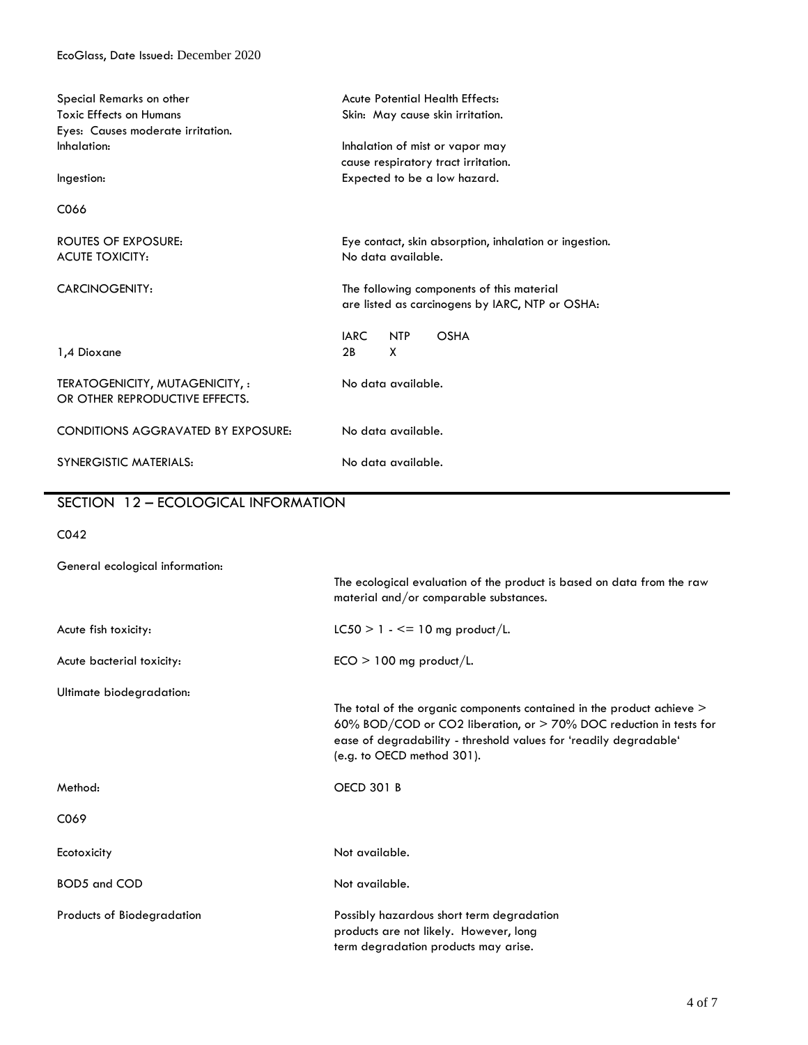| Special Remarks on other                  | <b>Acute Potential Health Effects:</b>                 |
|-------------------------------------------|--------------------------------------------------------|
| <b>Toxic Effects on Humans</b>            | Skin: May cause skin irritation.                       |
| Eyes: Causes moderate irritation.         |                                                        |
| Inhalation:                               | Inhalation of mist or vapor may                        |
|                                           | cause respiratory tract irritation.                    |
| Ingestion:                                | Expected to be a low hazard.                           |
| C066                                      |                                                        |
| <b>ROUTES OF EXPOSURE:</b>                | Eye contact, skin absorption, inhalation or ingestion. |
| <b>ACUTE TOXICITY:</b>                    | No data available.                                     |
|                                           |                                                        |
| <b>CARCINOGENITY:</b>                     | The following components of this material              |
|                                           | are listed as carcinogens by IARC, NTP or OSHA:        |
|                                           |                                                        |
|                                           | <b>IARC</b><br><b>OSHA</b><br><b>NTP</b>               |
| 1,4 Dioxane                               | X<br>2B                                                |
| TERATOGENICITY, MUTAGENICITY, :           | No data available.                                     |
| OR OTHER REPRODUCTIVE EFFECTS.            |                                                        |
|                                           |                                                        |
| <b>CONDITIONS AGGRAVATED BY EXPOSURE:</b> | No data available.                                     |
|                                           |                                                        |
| <b>SYNERGISTIC MATERIALS:</b>             | No data available.                                     |
|                                           |                                                        |
| SECTION 12 - ECOLOGICAL INFORMATION       |                                                        |
|                                           |                                                        |
| CO <sub>42</sub>                          |                                                        |
| General ecological information:           |                                                        |
|                                           |                                                        |

|                            | The ecological evaluation of the product is based on data from the raw<br>material and/or comparable substances.                                                                                                                                  |
|----------------------------|---------------------------------------------------------------------------------------------------------------------------------------------------------------------------------------------------------------------------------------------------|
| Acute fish toxicity:       | $LC50 > 1 - \le 10$ mg product/L.                                                                                                                                                                                                                 |
| Acute bacterial toxicity:  | $ECO > 100$ mg product/L.                                                                                                                                                                                                                         |
| Ultimate biodegradation:   |                                                                                                                                                                                                                                                   |
|                            | The total of the organic components contained in the product achieve $>$<br>60% BOD/COD or CO2 liberation, or > 70% DOC reduction in tests for<br>ease of degradability - threshold values for 'readily degradable'<br>(e.g. to OECD method 301). |
| Method:                    | <b>OECD 301 B</b>                                                                                                                                                                                                                                 |
| C069                       |                                                                                                                                                                                                                                                   |
| Ecotoxicity                | Not available.                                                                                                                                                                                                                                    |
| <b>BOD5</b> and COD        | Not available.                                                                                                                                                                                                                                    |
| Products of Biodegradation | Possibly hazardous short term degradation<br>products are not likely. However, long<br>term degradation products may arise.                                                                                                                       |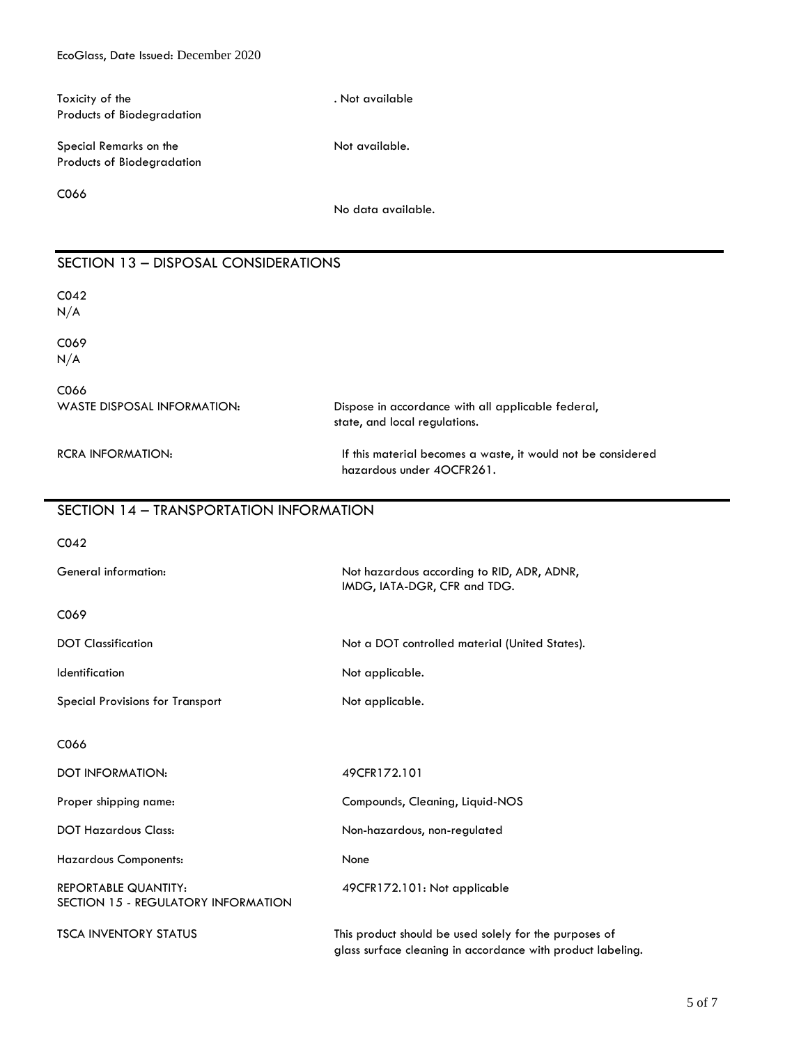| Toxicity of the<br>Products of Biodegradation                      | . Not available                                                                                                       |
|--------------------------------------------------------------------|-----------------------------------------------------------------------------------------------------------------------|
| Special Remarks on the<br>Products of Biodegradation               | Not available.                                                                                                        |
| C066                                                               | No data available.                                                                                                    |
| SECTION 13 - DISPOSAL CONSIDERATIONS                               |                                                                                                                       |
| CO <sub>42</sub><br>N/A                                            |                                                                                                                       |
| C069<br>N/A                                                        |                                                                                                                       |
| C066<br><b>WASTE DISPOSAL INFORMATION:</b>                         | Dispose in accordance with all applicable federal,<br>state, and local regulations.                                   |
| <b>RCRA INFORMATION:</b>                                           | If this material becomes a waste, it would not be considered<br>hazardous under 4OCFR261.                             |
| SECTION 14 - TRANSPORTATION INFORMATION                            |                                                                                                                       |
| CO <sub>42</sub>                                                   |                                                                                                                       |
| General information:                                               | Not hazardous according to RID, ADR, ADNR,<br>IMDG, IATA-DGR, CFR and TDG.                                            |
| C069                                                               |                                                                                                                       |
| <b>DOT Classification</b>                                          | Not a DOT controlled material (United States).                                                                        |
| Identification                                                     | Not applicable.                                                                                                       |
| <b>Special Provisions for Transport</b>                            | Not applicable.                                                                                                       |
| C066                                                               |                                                                                                                       |
| DOT INFORMATION:                                                   | 49CFR172.101                                                                                                          |
| Proper shipping name:                                              | Compounds, Cleaning, Liquid-NOS                                                                                       |
| <b>DOT Hazardous Class:</b>                                        | Non-hazardous, non-regulated                                                                                          |
| <b>Hazardous Components:</b>                                       | None                                                                                                                  |
| <b>REPORTABLE QUANTITY:</b><br>SECTION 15 - REGULATORY INFORMATION | 49CFR172.101: Not applicable                                                                                          |
| <b>TSCA INVENTORY STATUS</b>                                       | This product should be used solely for the purposes of<br>glass surface cleaning in accordance with product labeling. |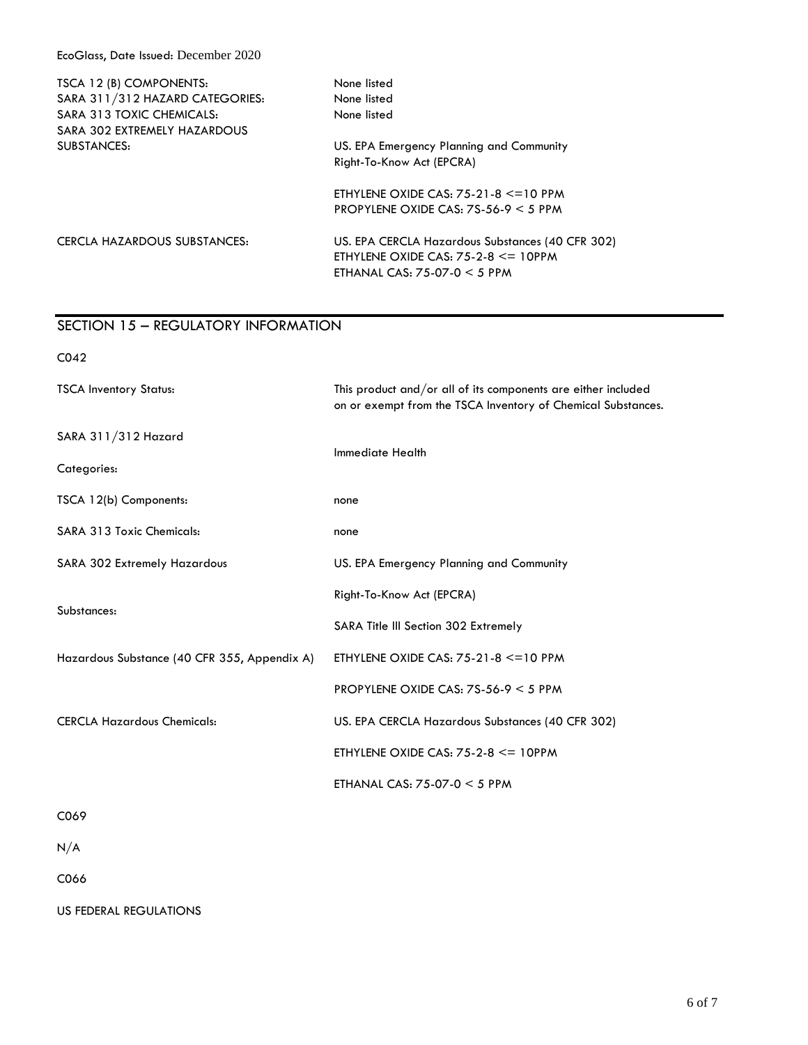EcoGlass, Date Issued: December 2020

| None listed                                                                                                                   |
|-------------------------------------------------------------------------------------------------------------------------------|
| None listed                                                                                                                   |
| None listed                                                                                                                   |
|                                                                                                                               |
| US. EPA Emergency Planning and Community                                                                                      |
| Right-To-Know Act (EPCRA)                                                                                                     |
| ETHYLENE OXIDE CAS: $75-21-8 \leq 10$ PPM                                                                                     |
| PROPYLENE OXIDE CAS: $75-56-9 < 5$ PPM                                                                                        |
| US. EPA CERCLA Hazardous Substances (40 CFR 302)<br>ETHYLENE OXIDE CAS: $75-2-8 \le 10$ PPM<br>ETHANAL CAS: $75-07-0 < 5$ PPM |
|                                                                                                                               |

## SECTION 15 – REGULATORY INFORMATION

| CO <sub>42</sub>                             |                                                                                                                               |  |
|----------------------------------------------|-------------------------------------------------------------------------------------------------------------------------------|--|
| <b>TSCA Inventory Status:</b>                | This product and/or all of its components are either included<br>on or exempt from the TSCA Inventory of Chemical Substances. |  |
| SARA 311/312 Hazard                          |                                                                                                                               |  |
| Categories:                                  | <b>Immediate Health</b>                                                                                                       |  |
| TSCA 12(b) Components:                       | none                                                                                                                          |  |
| <b>SARA 313 Toxic Chemicals:</b>             | none                                                                                                                          |  |
| SARA 302 Extremely Hazardous                 | US. EPA Emergency Planning and Community                                                                                      |  |
| Substances:                                  | Right-To-Know Act (EPCRA)                                                                                                     |  |
|                                              | SARA Title III Section 302 Extremely                                                                                          |  |
| Hazardous Substance (40 CFR 355, Appendix A) | ETHYLENE OXIDE CAS: $75-21-8 \leq 10$ PPM                                                                                     |  |
|                                              | PROPYLENE OXIDE CAS: $75-56-9 < 5$ PPM                                                                                        |  |
| <b>CERCLA Hazardous Chemicals:</b>           | US. EPA CERCLA Hazardous Substances (40 CFR 302)                                                                              |  |
|                                              | ETHYLENE OXIDE CAS: $75-2-8 \le 10$ PPM                                                                                       |  |
|                                              | ETHANAL CAS: $75-07-0 < 5$ PPM                                                                                                |  |
| C069                                         |                                                                                                                               |  |
|                                              |                                                                                                                               |  |

 $\rm N/A$ 

C066

US FEDERAL REGULATIONS